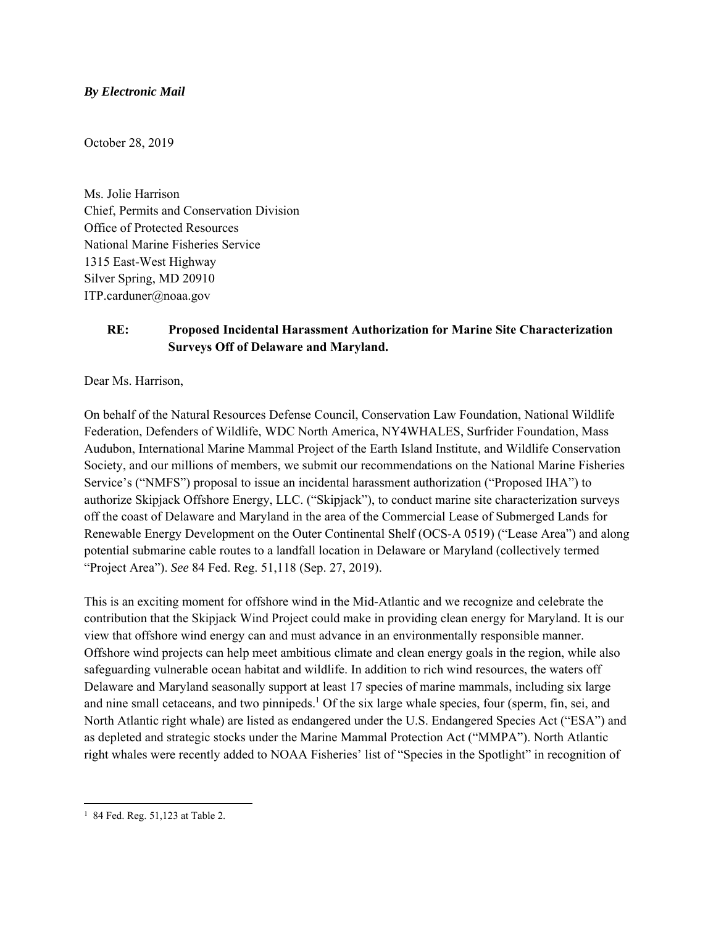#### *By Electronic Mail*

October 28, 2019

Ms. Jolie Harrison Chief, Permits and Conservation Division Office of Protected Resources National Marine Fisheries Service 1315 East-West Highway Silver Spring, MD 20910 ITP.carduner@noaa.gov

# **RE: Proposed Incidental Harassment Authorization for Marine Site Characterization Surveys Off of Delaware and Maryland.**

Dear Ms. Harrison,

On behalf of the Natural Resources Defense Council, Conservation Law Foundation, National Wildlife Federation, Defenders of Wildlife, WDC North America, NY4WHALES, Surfrider Foundation, Mass Audubon, International Marine Mammal Project of the Earth Island Institute, and Wildlife Conservation Society, and our millions of members, we submit our recommendations on the National Marine Fisheries Service's ("NMFS") proposal to issue an incidental harassment authorization ("Proposed IHA") to authorize Skipjack Offshore Energy, LLC. ("Skipjack"), to conduct marine site characterization surveys off the coast of Delaware and Maryland in the area of the Commercial Lease of Submerged Lands for Renewable Energy Development on the Outer Continental Shelf (OCS-A 0519) ("Lease Area") and along potential submarine cable routes to a landfall location in Delaware or Maryland (collectively termed "Project Area"). *See* 84 Fed. Reg. 51,118 (Sep. 27, 2019).

This is an exciting moment for offshore wind in the Mid-Atlantic and we recognize and celebrate the contribution that the Skipjack Wind Project could make in providing clean energy for Maryland. It is our view that offshore wind energy can and must advance in an environmentally responsible manner. Offshore wind projects can help meet ambitious climate and clean energy goals in the region, while also safeguarding vulnerable ocean habitat and wildlife. In addition to rich wind resources, the waters off Delaware and Maryland seasonally support at least 17 species of marine mammals, including six large and nine small cetaceans, and two pinnipeds.<sup>1</sup> Of the six large whale species, four (sperm, fin, sei, and North Atlantic right whale) are listed as endangered under the U.S. Endangered Species Act ("ESA") and as depleted and strategic stocks under the Marine Mammal Protection Act ("MMPA"). North Atlantic right whales were recently added to NOAA Fisheries' list of "Species in the Spotlight" in recognition of

<sup>&</sup>lt;sup>1</sup> 84 Fed. Reg. 51,123 at Table 2.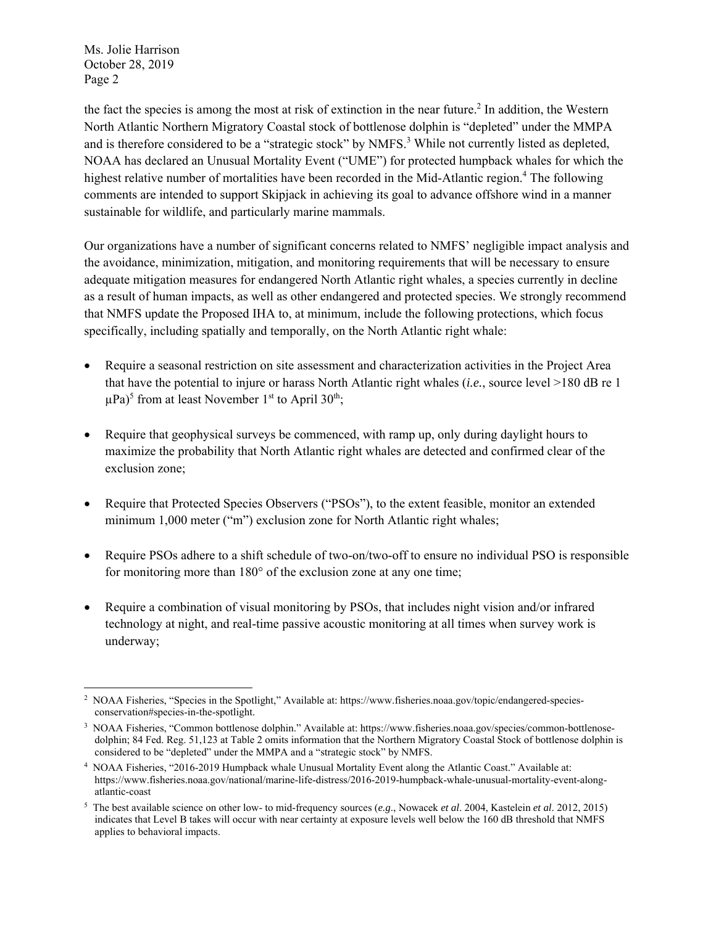the fact the species is among the most at risk of extinction in the near future.<sup>2</sup> In addition, the Western North Atlantic Northern Migratory Coastal stock of bottlenose dolphin is "depleted" under the MMPA and is therefore considered to be a "strategic stock" by NMFS.<sup>3</sup> While not currently listed as depleted, NOAA has declared an Unusual Mortality Event ("UME") for protected humpback whales for which the highest relative number of mortalities have been recorded in the Mid-Atlantic region.<sup>4</sup> The following comments are intended to support Skipjack in achieving its goal to advance offshore wind in a manner sustainable for wildlife, and particularly marine mammals.

Our organizations have a number of significant concerns related to NMFS' negligible impact analysis and the avoidance, minimization, mitigation, and monitoring requirements that will be necessary to ensure adequate mitigation measures for endangered North Atlantic right whales, a species currently in decline as a result of human impacts, as well as other endangered and protected species. We strongly recommend that NMFS update the Proposed IHA to, at minimum, include the following protections, which focus specifically, including spatially and temporally, on the North Atlantic right whale:

- Require a seasonal restriction on site assessment and characterization activities in the Project Area that have the potential to injure or harass North Atlantic right whales (*i.e.*, source level >180 dB re 1  $(\mu Pa)^5$  from at least November 1<sup>st</sup> to April 30<sup>th</sup>;
- Require that geophysical surveys be commenced, with ramp up, only during daylight hours to maximize the probability that North Atlantic right whales are detected and confirmed clear of the exclusion zone;
- Require that Protected Species Observers ("PSOs"), to the extent feasible, monitor an extended minimum 1,000 meter ("m") exclusion zone for North Atlantic right whales;
- Require PSOs adhere to a shift schedule of two-on/two-off to ensure no individual PSO is responsible for monitoring more than 180° of the exclusion zone at any one time;
- Require a combination of visual monitoring by PSOs, that includes night vision and/or infrared technology at night, and real-time passive acoustic monitoring at all times when survey work is underway;

 2 NOAA Fisheries, "Species in the Spotlight," Available at: https://www.fisheries.noaa.gov/topic/endangered-speciesconservation#species-in-the-spotlight.

<sup>3</sup> NOAA Fisheries, "Common bottlenose dolphin." Available at: https://www.fisheries.noaa.gov/species/common-bottlenosedolphin; 84 Fed. Reg. 51,123 at Table 2 omits information that the Northern Migratory Coastal Stock of bottlenose dolphin is considered to be "depleted" under the MMPA and a "strategic stock" by NMFS.

<sup>4</sup> NOAA Fisheries, "2016-2019 Humpback whale Unusual Mortality Event along the Atlantic Coast." Available at: https://www.fisheries.noaa.gov/national/marine-life-distress/2016-2019-humpback-whale-unusual-mortality-event-alongatlantic-coast

<sup>5</sup> The best available science on other low- to mid-frequency sources (*e.g*., Nowacek *et al*. 2004, Kastelein *et al*. 2012, 2015) indicates that Level B takes will occur with near certainty at exposure levels well below the 160 dB threshold that NMFS applies to behavioral impacts.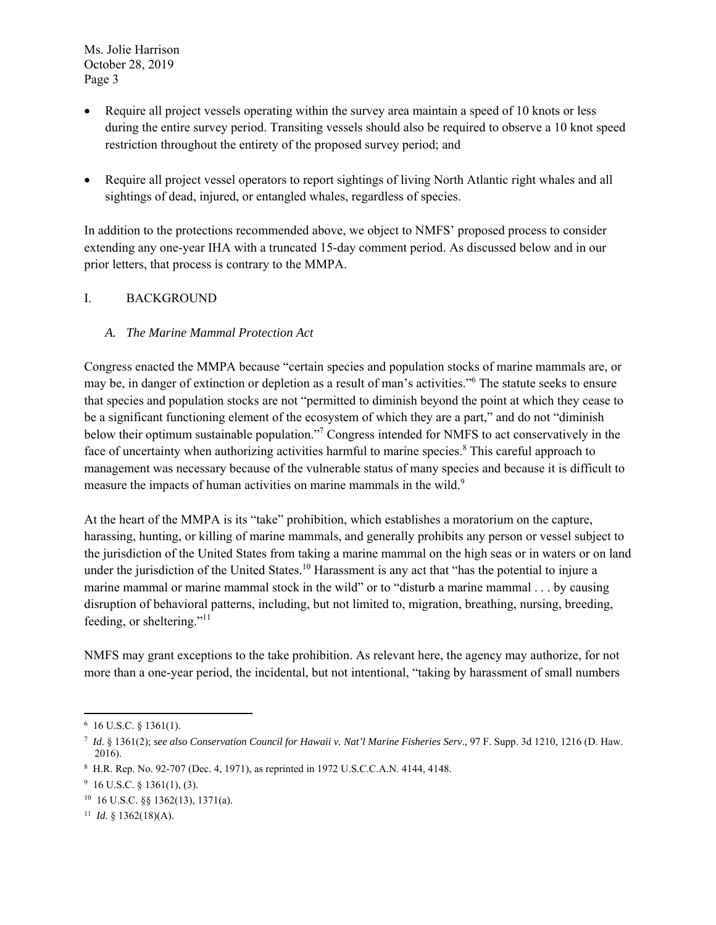- Require all project vessels operating within the survey area maintain a speed of 10 knots or less during the entire survey period. Transiting vessels should also be required to observe a 10 knot speed restriction throughout the entirety of the proposed survey period; and
- Require all project vessel operators to report sightings of living North Atlantic right whales and all sightings of dead, injured, or entangled whales, regardless of species.

In addition to the protections recommended above, we object to NMFS' proposed process to consider extending any one-year IHA with a truncated 15-day comment period. As discussed below and in our prior letters, that process is contrary to the MMPA.

# I. BACKGROUND

## *A. The Marine Mammal Protection Act*

Congress enacted the MMPA because "certain species and population stocks of marine mammals are, or may be, in danger of extinction or depletion as a result of man's activities."6 The statute seeks to ensure that species and population stocks are not "permitted to diminish beyond the point at which they cease to be a significant functioning element of the ecosystem of which they are a part," and do not "diminish below their optimum sustainable population."<sup>7</sup> Congress intended for NMFS to act conservatively in the face of uncertainty when authorizing activities harmful to marine species.<sup>8</sup> This careful approach to management was necessary because of the vulnerable status of many species and because it is difficult to measure the impacts of human activities on marine mammals in the wild.<sup>9</sup>

At the heart of the MMPA is its "take" prohibition, which establishes a moratorium on the capture, harassing, hunting, or killing of marine mammals, and generally prohibits any person or vessel subject to the jurisdiction of the United States from taking a marine mammal on the high seas or in waters or on land under the jurisdiction of the United States.<sup>10</sup> Harassment is any act that "has the potential to injure a marine mammal or marine mammal stock in the wild" or to "disturb a marine mammal . . . by causing disruption of behavioral patterns, including, but not limited to, migration, breathing, nursing, breeding, feeding, or sheltering."<sup>11</sup>

NMFS may grant exceptions to the take prohibition. As relevant here, the agency may authorize, for not more than a one-year period, the incidental, but not intentional, "taking by harassment of small numbers

 $6$  16 U.S.C. § 1361(1).

<sup>7</sup> *Id*. § 1361(2); *see also Conservation Council for Hawaii v. Nat'l Marine Fisheries Serv*., 97 F. Supp. 3d 1210, 1216 (D. Haw. 2016).

<sup>8</sup> H.R. Rep. No. 92-707 (Dec. 4, 1971), as reprinted in 1972 U.S.C.C.A.N. 4144, 4148.

 $9\,$  16 U.S.C. § 1361(1), (3).

<sup>10 16</sup> U.S.C. §§ 1362(13), 1371(a).

<sup>11</sup> *Id*. § 1362(18)(A).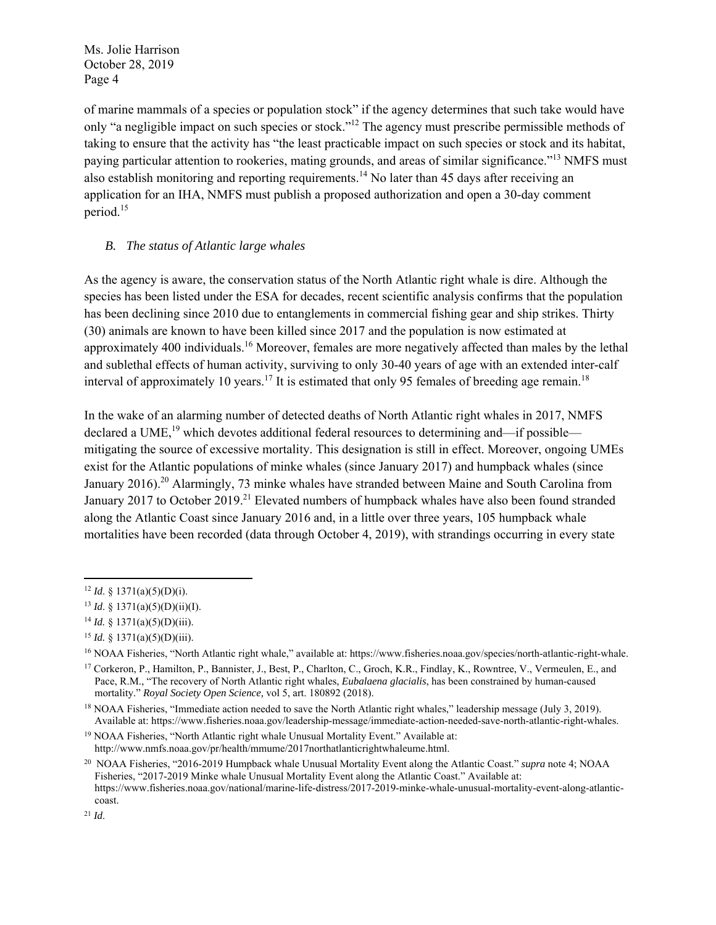of marine mammals of a species or population stock" if the agency determines that such take would have only "a negligible impact on such species or stock."12 The agency must prescribe permissible methods of taking to ensure that the activity has "the least practicable impact on such species or stock and its habitat, paying particular attention to rookeries, mating grounds, and areas of similar significance."<sup>13</sup> NMFS must also establish monitoring and reporting requirements.<sup>14</sup> No later than 45 days after receiving an application for an IHA, NMFS must publish a proposed authorization and open a 30-day comment period.<sup>15</sup>

#### *B. The status of Atlantic large whales*

As the agency is aware, the conservation status of the North Atlantic right whale is dire. Although the species has been listed under the ESA for decades, recent scientific analysis confirms that the population has been declining since 2010 due to entanglements in commercial fishing gear and ship strikes. Thirty (30) animals are known to have been killed since 2017 and the population is now estimated at approximately 400 individuals.<sup>16</sup> Moreover, females are more negatively affected than males by the lethal and sublethal effects of human activity, surviving to only 30-40 years of age with an extended inter-calf interval of approximately 10 years.<sup>17</sup> It is estimated that only 95 females of breeding age remain.<sup>18</sup>

In the wake of an alarming number of detected deaths of North Atlantic right whales in 2017, NMFS declared a UME,<sup>19</sup> which devotes additional federal resources to determining and—if possible mitigating the source of excessive mortality. This designation is still in effect. Moreover, ongoing UMEs exist for the Atlantic populations of minke whales (since January 2017) and humpback whales (since January 2016).<sup>20</sup> Alarmingly, 73 minke whales have stranded between Maine and South Carolina from January 2017 to October 2019.<sup>21</sup> Elevated numbers of humpback whales have also been found stranded along the Atlantic Coast since January 2016 and, in a little over three years, 105 humpback whale mortalities have been recorded (data through October 4, 2019), with strandings occurring in every state

 $12$  *Id.* § 1371(a)(5)(D)(i).

 $13$  *Id.* § 1371(a)(5)(D)(ii)(I).

<sup>14</sup> *Id.* § 1371(a)(5)(D)(iii).

<sup>15</sup> *Id.* § 1371(a)(5)(D)(iii).

<sup>16</sup> NOAA Fisheries, "North Atlantic right whale," available at: https://www.fisheries.noaa.gov/species/north-atlantic-right-whale.

<sup>17</sup> Corkeron, P., Hamilton, P., Bannister, J., Best, P., Charlton, C., Groch, K.R., Findlay, K., Rowntree, V., Vermeulen, E., and Pace, R.M., "The recovery of North Atlantic right whales, *Eubalaena glacialis*, has been constrained by human-caused mortality." *Royal Society Open Science,* vol 5, art. 180892 (2018).

<sup>&</sup>lt;sup>18</sup> NOAA Fisheries, "Immediate action needed to save the North Atlantic right whales," leadership message (July 3, 2019). Available at: https://www.fisheries.noaa.gov/leadership-message/immediate-action-needed-save-north-atlantic-right-whales.

<sup>&</sup>lt;sup>19</sup> NOAA Fisheries, "North Atlantic right whale Unusual Mortality Event." Available at: http://www.nmfs.noaa.gov/pr/health/mmume/2017northatlanticrightwhaleume.html.

<sup>20</sup> NOAA Fisheries, "2016-2019 Humpback whale Unusual Mortality Event along the Atlantic Coast." *supra* note 4; NOAA Fisheries, "2017-2019 Minke whale Unusual Mortality Event along the Atlantic Coast." Available at: https://www.fisheries.noaa.gov/national/marine-life-distress/2017-2019-minke-whale-unusual-mortality-event-along-atlanticcoast.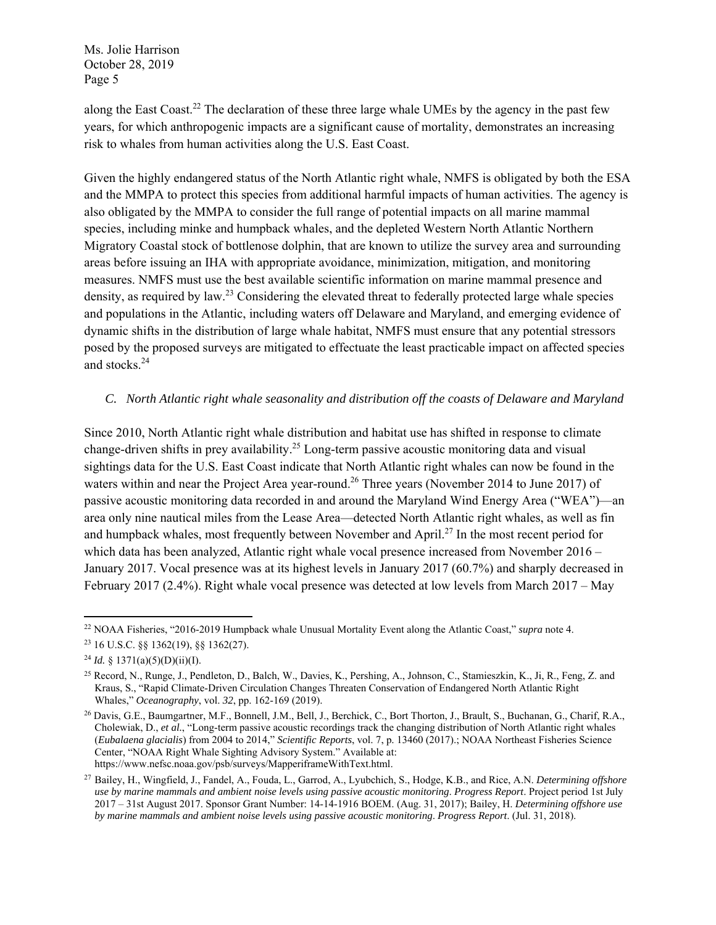along the East Coast.<sup>22</sup> The declaration of these three large whale UMEs by the agency in the past few years, for which anthropogenic impacts are a significant cause of mortality, demonstrates an increasing risk to whales from human activities along the U.S. East Coast.

Given the highly endangered status of the North Atlantic right whale, NMFS is obligated by both the ESA and the MMPA to protect this species from additional harmful impacts of human activities. The agency is also obligated by the MMPA to consider the full range of potential impacts on all marine mammal species, including minke and humpback whales, and the depleted Western North Atlantic Northern Migratory Coastal stock of bottlenose dolphin, that are known to utilize the survey area and surrounding areas before issuing an IHA with appropriate avoidance, minimization, mitigation, and monitoring measures. NMFS must use the best available scientific information on marine mammal presence and density, as required by law.<sup>23</sup> Considering the elevated threat to federally protected large whale species and populations in the Atlantic, including waters off Delaware and Maryland, and emerging evidence of dynamic shifts in the distribution of large whale habitat, NMFS must ensure that any potential stressors posed by the proposed surveys are mitigated to effectuate the least practicable impact on affected species and stocks.<sup>24</sup>

#### *C. North Atlantic right whale seasonality and distribution off the coasts of Delaware and Maryland*

Since 2010, North Atlantic right whale distribution and habitat use has shifted in response to climate change-driven shifts in prey availability.<sup>25</sup> Long-term passive acoustic monitoring data and visual sightings data for the U.S. East Coast indicate that North Atlantic right whales can now be found in the waters within and near the Project Area year-round.<sup>26</sup> Three years (November 2014 to June 2017) of passive acoustic monitoring data recorded in and around the Maryland Wind Energy Area ("WEA")—an area only nine nautical miles from the Lease Area—detected North Atlantic right whales, as well as fin and humpback whales, most frequently between November and April.<sup>27</sup> In the most recent period for which data has been analyzed, Atlantic right whale vocal presence increased from November 2016 – January 2017. Vocal presence was at its highest levels in January 2017 (60.7%) and sharply decreased in February 2017 (2.4%). Right whale vocal presence was detected at low levels from March 2017 – May

 22 NOAA Fisheries, "2016-2019 Humpback whale Unusual Mortality Event along the Atlantic Coast," *supra* note 4.

<sup>23 16</sup> U.S.C. §§ 1362(19), §§ 1362(27).

<sup>&</sup>lt;sup>24</sup> *Id.* § 1371(a)(5)(D)(ii)(I).

<sup>25</sup> Record, N., Runge, J., Pendleton, D., Balch, W., Davies, K., Pershing, A., Johnson, C., Stamieszkin, K., Ji, R., Feng, Z. and Kraus, S., "Rapid Climate-Driven Circulation Changes Threaten Conservation of Endangered North Atlantic Right Whales," *Oceanography*, vol. *32*, pp. 162-169 (2019).

<sup>26</sup> Davis, G.E., Baumgartner, M.F., Bonnell, J.M., Bell, J., Berchick, C., Bort Thorton, J., Brault, S., Buchanan, G., Charif, R.A., Cholewiak, D., *et al.*, "Long-term passive acoustic recordings track the changing distribution of North Atlantic right whales (*Eubalaena glacialis*) from 2004 to 2014," *Scientific Reports*, vol. 7, p. 13460 (2017).; NOAA Northeast Fisheries Science Center, "NOAA Right Whale Sighting Advisory System." Available at: https://www.nefsc.noaa.gov/psb/surveys/MapperiframeWithText.html.

<sup>27</sup> Bailey, H., Wingfield, J., Fandel, A., Fouda, L., Garrod, A., Lyubchich, S., Hodge, K.B., and Rice, A.N. *Determining offshore use by marine mammals and ambient noise levels using passive acoustic monitoring*. *Progress Report*. Project period 1st July 2017 – 31st August 2017. Sponsor Grant Number: 14-14-1916 BOEM. (Aug. 31, 2017); Bailey, H. *Determining offshore use by marine mammals and ambient noise levels using passive acoustic monitoring*. *Progress Report*. (Jul. 31, 2018).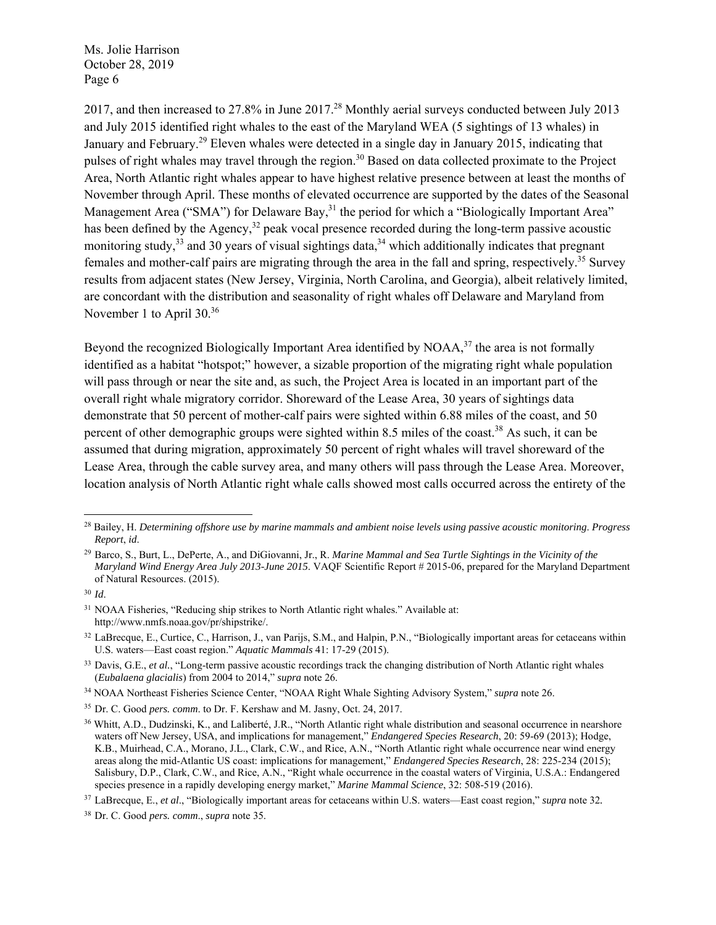2017, and then increased to 27.8% in June 2017.28 Monthly aerial surveys conducted between July 2013 and July 2015 identified right whales to the east of the Maryland WEA (5 sightings of 13 whales) in January and February.<sup>29</sup> Eleven whales were detected in a single day in January 2015, indicating that pulses of right whales may travel through the region.<sup>30</sup> Based on data collected proximate to the Project Area, North Atlantic right whales appear to have highest relative presence between at least the months of November through April. These months of elevated occurrence are supported by the dates of the Seasonal Management Area ("SMA") for Delaware Bay,<sup>31</sup> the period for which a "Biologically Important Area" has been defined by the Agency,<sup>32</sup> peak vocal presence recorded during the long-term passive acoustic monitoring study,<sup>33</sup> and 30 years of visual sightings data,<sup>34</sup> which additionally indicates that pregnant females and mother-calf pairs are migrating through the area in the fall and spring, respectively.35 Survey results from adjacent states (New Jersey, Virginia, North Carolina, and Georgia), albeit relatively limited, are concordant with the distribution and seasonality of right whales off Delaware and Maryland from November 1 to April 30.36

Beyond the recognized Biologically Important Area identified by  $NOAA$ ,<sup>37</sup> the area is not formally identified as a habitat "hotspot;" however, a sizable proportion of the migrating right whale population will pass through or near the site and, as such, the Project Area is located in an important part of the overall right whale migratory corridor. Shoreward of the Lease Area, 30 years of sightings data demonstrate that 50 percent of mother-calf pairs were sighted within 6.88 miles of the coast, and 50 percent of other demographic groups were sighted within 8.5 miles of the coast.<sup>38</sup> As such, it can be assumed that during migration, approximately 50 percent of right whales will travel shoreward of the Lease Area, through the cable survey area, and many others will pass through the Lease Area. Moreover, location analysis of North Atlantic right whale calls showed most calls occurred across the entirety of the

<sup>28</sup> Bailey, H. *Determining offshore use by marine mammals and ambient noise levels using passive acoustic monitoring*. *Progress Report*, *id*.

<sup>29</sup> Barco, S., Burt, L., DePerte, A., and DiGiovanni, Jr., R. *Marine Mammal and Sea Turtle Sightings in the Vicinity of the Maryland Wind Energy Area July 2013-June 2015*. VAQF Scientific Report # 2015-06, prepared for the Maryland Department of Natural Resources. (2015).

<sup>30</sup> *Id*.

<sup>&</sup>lt;sup>31</sup> NOAA Fisheries, "Reducing ship strikes to North Atlantic right whales." Available at: http://www.nmfs.noaa.gov/pr/shipstrike/.

<sup>32</sup> LaBrecque, E., Curtice, C., Harrison, J., van Parijs, S.M., and Halpin, P.N., "Biologically important areas for cetaceans within U.S. waters—East coast region." *Aquatic Mammals* 41: 17-29 (2015).

<sup>&</sup>lt;sup>33</sup> Davis, G.E., *et al.*, "Long-term passive acoustic recordings track the changing distribution of North Atlantic right whales (*Eubalaena glacialis*) from 2004 to 2014," *supra* note 26.

<sup>34</sup> NOAA Northeast Fisheries Science Center, "NOAA Right Whale Sighting Advisory System," *supra* note 26.

<sup>35</sup> Dr. C. Good *pers. comm*. to Dr. F. Kershaw and M. Jasny, Oct. 24, 2017.

<sup>&</sup>lt;sup>36</sup> Whitt, A.D., Dudzinski, K., and Laliberté, J.R., "North Atlantic right whale distribution and seasonal occurrence in nearshore waters off New Jersey, USA, and implications for management," *Endangered Species Research*, 20: 59-69 (2013); Hodge, K.B., Muirhead, C.A., Morano, J.L., Clark, C.W., and Rice, A.N., "North Atlantic right whale occurrence near wind energy areas along the mid-Atlantic US coast: implications for management," *Endangered Species Research*, 28: 225-234 (2015); Salisbury, D.P., Clark, C.W., and Rice, A.N., "Right whale occurrence in the coastal waters of Virginia, U.S.A.: Endangered species presence in a rapidly developing energy market," *Marine Mammal Science*, 32: 508-519 (2016).

<sup>37</sup> LaBrecque, E., *et al*., "Biologically important areas for cetaceans within U.S. waters—East coast region," *supra* note 32*.* 

<sup>38</sup> Dr. C. Good *pers. comm*., *supra* note 35.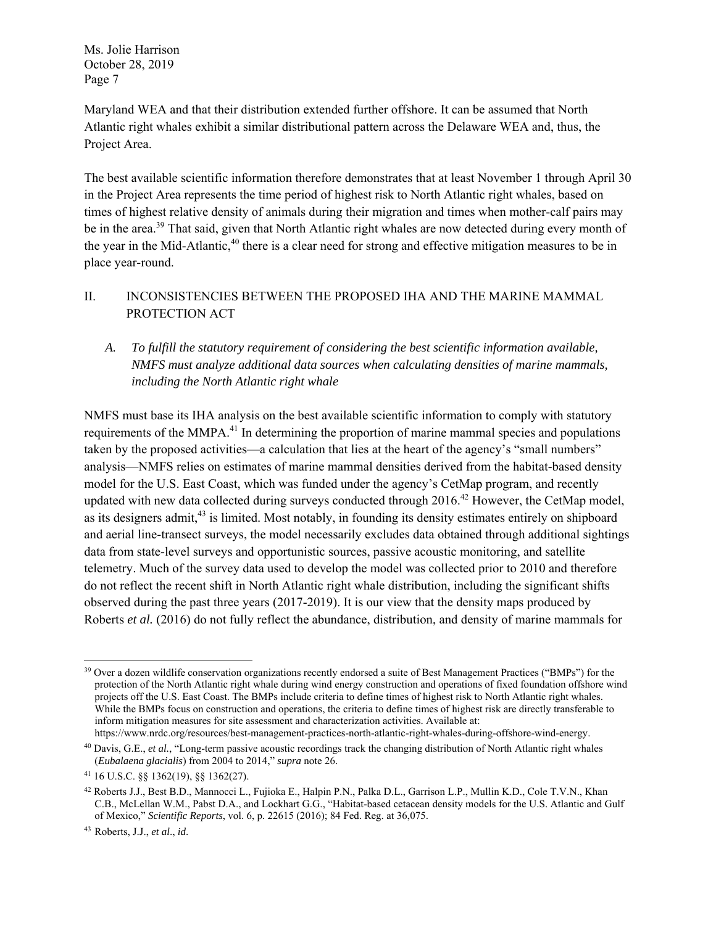Maryland WEA and that their distribution extended further offshore. It can be assumed that North Atlantic right whales exhibit a similar distributional pattern across the Delaware WEA and, thus, the Project Area.

The best available scientific information therefore demonstrates that at least November 1 through April 30 in the Project Area represents the time period of highest risk to North Atlantic right whales, based on times of highest relative density of animals during their migration and times when mother-calf pairs may be in the area.<sup>39</sup> That said, given that North Atlantic right whales are now detected during every month of the year in the Mid-Atlantic,<sup>40</sup> there is a clear need for strong and effective mitigation measures to be in place year-round.

## II. INCONSISTENCIES BETWEEN THE PROPOSED IHA AND THE MARINE MAMMAL PROTECTION ACT

# *A. To fulfill the statutory requirement of considering the best scientific information available, NMFS must analyze additional data sources when calculating densities of marine mammals, including the North Atlantic right whale*

NMFS must base its IHA analysis on the best available scientific information to comply with statutory requirements of the MMPA.<sup>41</sup> In determining the proportion of marine mammal species and populations taken by the proposed activities—a calculation that lies at the heart of the agency's "small numbers" analysis—NMFS relies on estimates of marine mammal densities derived from the habitat-based density model for the U.S. East Coast, which was funded under the agency's CetMap program, and recently updated with new data collected during surveys conducted through  $2016<sup>42</sup>$  However, the CetMap model, as its designers admit,<sup>43</sup> is limited. Most notably, in founding its density estimates entirely on shipboard and aerial line-transect surveys, the model necessarily excludes data obtained through additional sightings data from state-level surveys and opportunistic sources, passive acoustic monitoring, and satellite telemetry. Much of the survey data used to develop the model was collected prior to 2010 and therefore do not reflect the recent shift in North Atlantic right whale distribution, including the significant shifts observed during the past three years (2017-2019). It is our view that the density maps produced by Roberts *et al.* (2016) do not fully reflect the abundance, distribution, and density of marine mammals for

  $39$  Over a dozen wildlife conservation organizations recently endorsed a suite of Best Management Practices ("BMPs") for the protection of the North Atlantic right whale during wind energy construction and operations of fixed foundation offshore wind projects off the U.S. East Coast. The BMPs include criteria to define times of highest risk to North Atlantic right whales. While the BMPs focus on construction and operations, the criteria to define times of highest risk are directly transferable to inform mitigation measures for site assessment and characterization activities. Available at: https://www.nrdc.org/resources/best-management-practices-north-atlantic-right-whales-during-offshore-wind-energy.

<sup>40</sup> Davis, G.E., *et al.*, "Long‐term passive acoustic recordings track the changing distribution of North Atlantic right whales (*Eubalaena glacialis*) from 2004 to 2014," *supra* note 26.

<sup>41 16</sup> U.S.C. §§ 1362(19), §§ 1362(27).

<sup>42</sup> Roberts J.J., Best B.D., Mannocci L., Fujioka E., Halpin P.N., Palka D.L., Garrison L.P., Mullin K.D., Cole T.V.N., Khan C.B., McLellan W.M., Pabst D.A., and Lockhart G.G., "Habitat-based cetacean density models for the U.S. Atlantic and Gulf of Mexico," *Scientific Reports*, vol. 6, p. 22615 (2016); 84 Fed. Reg. at 36,075.

<sup>43</sup>Roberts, J.J., *et al*., *id*.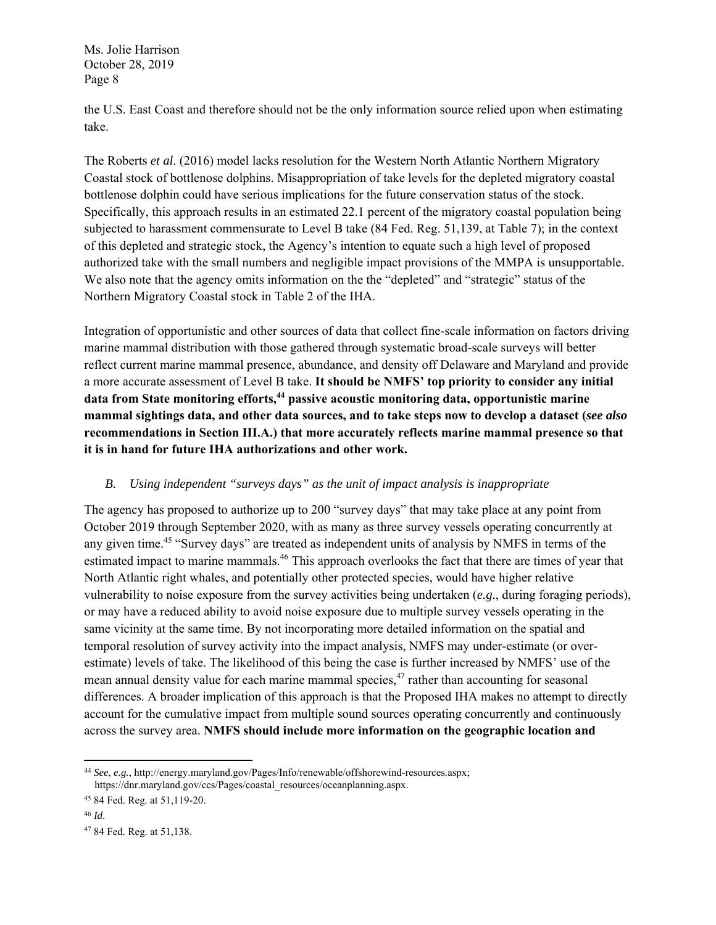the U.S. East Coast and therefore should not be the only information source relied upon when estimating take.

The Roberts *et al*. (2016) model lacks resolution for the Western North Atlantic Northern Migratory Coastal stock of bottlenose dolphins. Misappropriation of take levels for the depleted migratory coastal bottlenose dolphin could have serious implications for the future conservation status of the stock. Specifically, this approach results in an estimated 22.1 percent of the migratory coastal population being subjected to harassment commensurate to Level B take (84 Fed. Reg. 51,139, at Table 7); in the context of this depleted and strategic stock, the Agency's intention to equate such a high level of proposed authorized take with the small numbers and negligible impact provisions of the MMPA is unsupportable. We also note that the agency omits information on the the "depleted" and "strategic" status of the Northern Migratory Coastal stock in Table 2 of the IHA.

Integration of opportunistic and other sources of data that collect fine-scale information on factors driving marine mammal distribution with those gathered through systematic broad-scale surveys will better reflect current marine mammal presence, abundance, and density off Delaware and Maryland and provide a more accurate assessment of Level B take. **It should be NMFS' top priority to consider any initial**  data from State monitoring efforts,<sup>44</sup> passive acoustic monitoring data, opportunistic marine **mammal sightings data, and other data sources, and to take steps now to develop a dataset (***see also*  **recommendations in Section III.A.) that more accurately reflects marine mammal presence so that it is in hand for future IHA authorizations and other work.** 

## *B. Using independent "surveys days" as the unit of impact analysis is inappropriate*

The agency has proposed to authorize up to 200 "survey days" that may take place at any point from October 2019 through September 2020, with as many as three survey vessels operating concurrently at any given time.<sup>45</sup> "Survey days" are treated as independent units of analysis by NMFS in terms of the estimated impact to marine mammals.<sup>46</sup> This approach overlooks the fact that there are times of year that North Atlantic right whales, and potentially other protected species, would have higher relative vulnerability to noise exposure from the survey activities being undertaken (*e.g.*, during foraging periods), or may have a reduced ability to avoid noise exposure due to multiple survey vessels operating in the same vicinity at the same time. By not incorporating more detailed information on the spatial and temporal resolution of survey activity into the impact analysis, NMFS may under-estimate (or overestimate) levels of take. The likelihood of this being the case is further increased by NMFS' use of the mean annual density value for each marine mammal species,  $47$  rather than accounting for seasonal differences. A broader implication of this approach is that the Proposed IHA makes no attempt to directly account for the cumulative impact from multiple sound sources operating concurrently and continuously across the survey area. **NMFS should include more information on the geographic location and** 

<sup>44</sup> *See*, *e.g.*, http://energy.maryland.gov/Pages/Info/renewable/offshorewind-resources.aspx; https://dnr.maryland.gov/ccs/Pages/coastal\_resources/oceanplanning.aspx.

<sup>45 84</sup> Fed. Reg. at 51,119-20.

<sup>46</sup> *Id*.

<sup>47 84</sup> Fed. Reg. at 51,138.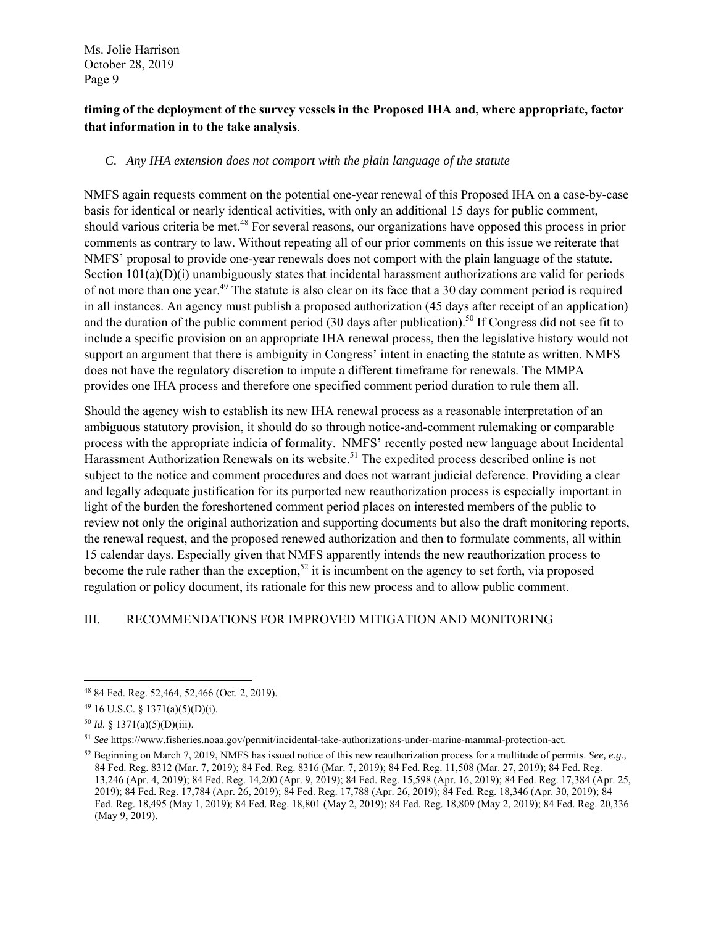# **timing of the deployment of the survey vessels in the Proposed IHA and, where appropriate, factor that information in to the take analysis**.

### *C. Any IHA extension does not comport with the plain language of the statute*

NMFS again requests comment on the potential one-year renewal of this Proposed IHA on a case-by-case basis for identical or nearly identical activities, with only an additional 15 days for public comment, should various criteria be met.<sup>48</sup> For several reasons, our organizations have opposed this process in prior comments as contrary to law. Without repeating all of our prior comments on this issue we reiterate that NMFS' proposal to provide one-year renewals does not comport with the plain language of the statute. Section  $101(a)(D)(i)$  unambiguously states that incidental harassment authorizations are valid for periods of not more than one year.<sup>49</sup> The statute is also clear on its face that a 30 day comment period is required in all instances. An agency must publish a proposed authorization (45 days after receipt of an application) and the duration of the public comment period (30 days after publication).<sup>50</sup> If Congress did not see fit to include a specific provision on an appropriate IHA renewal process, then the legislative history would not support an argument that there is ambiguity in Congress' intent in enacting the statute as written. NMFS does not have the regulatory discretion to impute a different timeframe for renewals. The MMPA provides one IHA process and therefore one specified comment period duration to rule them all.

Should the agency wish to establish its new IHA renewal process as a reasonable interpretation of an ambiguous statutory provision, it should do so through notice-and-comment rulemaking or comparable process with the appropriate indicia of formality. NMFS' recently posted new language about Incidental Harassment Authorization Renewals on its website.<sup>51</sup> The expedited process described online is not subject to the notice and comment procedures and does not warrant judicial deference. Providing a clear and legally adequate justification for its purported new reauthorization process is especially important in light of the burden the foreshortened comment period places on interested members of the public to review not only the original authorization and supporting documents but also the draft monitoring reports, the renewal request, and the proposed renewed authorization and then to formulate comments, all within 15 calendar days. Especially given that NMFS apparently intends the new reauthorization process to become the rule rather than the exception,<sup>52</sup> it is incumbent on the agency to set forth, via proposed regulation or policy document, its rationale for this new process and to allow public comment.

## III. RECOMMENDATIONS FOR IMPROVED MITIGATION AND MONITORING

 48 84 Fed. Reg. 52,464, 52,466 (Oct. 2, 2019).

<sup>49 16</sup> U.S.C. § 1371(a)(5)(D)(i).

<sup>50</sup> *Id.* § 1371(a)(5)(D)(iii).

<sup>51</sup> *See* https://www.fisheries.noaa.gov/permit/incidental-take-authorizations-under-marine-mammal-protection-act.

<sup>52</sup> Beginning on March 7, 2019, NMFS has issued notice of this new reauthorization process for a multitude of permits. *See, e.g.,* 84 Fed. Reg. 8312 (Mar. 7, 2019); 84 Fed. Reg. 8316 (Mar. 7, 2019); 84 Fed. Reg. 11,508 (Mar. 27, 2019); 84 Fed. Reg. 13,246 (Apr. 4, 2019); 84 Fed. Reg. 14,200 (Apr. 9, 2019); 84 Fed. Reg. 15,598 (Apr. 16, 2019); 84 Fed. Reg. 17,384 (Apr. 25, 2019); 84 Fed. Reg. 17,784 (Apr. 26, 2019); 84 Fed. Reg. 17,788 (Apr. 26, 2019); 84 Fed. Reg. 18,346 (Apr. 30, 2019); 84 Fed. Reg. 18,495 (May 1, 2019); 84 Fed. Reg. 18,801 (May 2, 2019); 84 Fed. Reg. 18,809 (May 2, 2019); 84 Fed. Reg. 20,336 (May 9, 2019).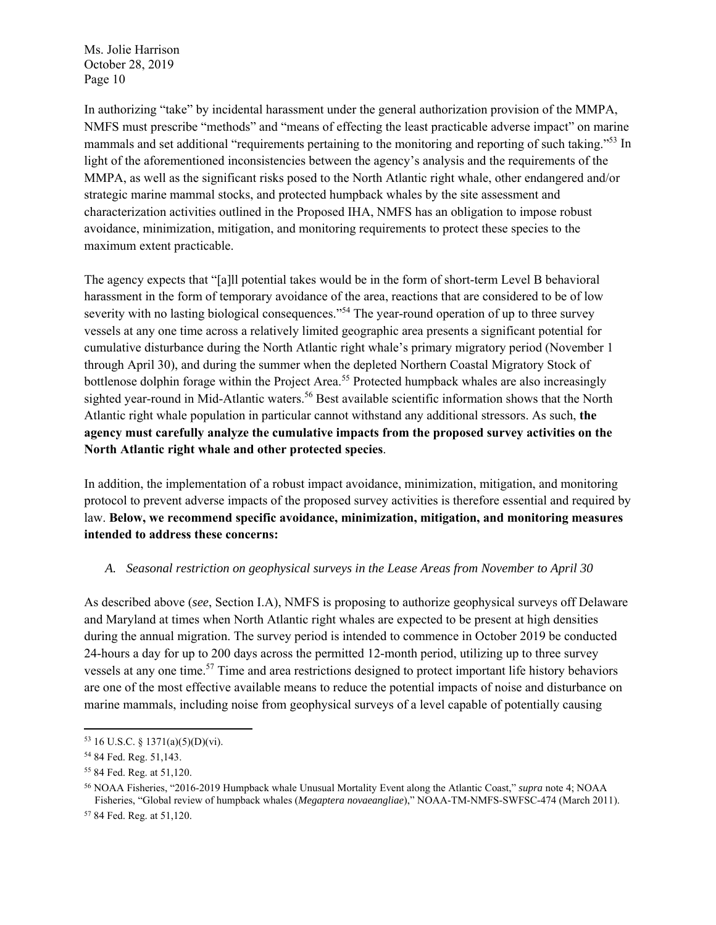In authorizing "take" by incidental harassment under the general authorization provision of the MMPA, NMFS must prescribe "methods" and "means of effecting the least practicable adverse impact" on marine mammals and set additional "requirements pertaining to the monitoring and reporting of such taking."<sup>53</sup> In light of the aforementioned inconsistencies between the agency's analysis and the requirements of the MMPA, as well as the significant risks posed to the North Atlantic right whale, other endangered and/or strategic marine mammal stocks, and protected humpback whales by the site assessment and characterization activities outlined in the Proposed IHA, NMFS has an obligation to impose robust avoidance, minimization, mitigation, and monitoring requirements to protect these species to the maximum extent practicable.

The agency expects that "[a]ll potential takes would be in the form of short-term Level B behavioral harassment in the form of temporary avoidance of the area, reactions that are considered to be of low severity with no lasting biological consequences."<sup>54</sup> The year-round operation of up to three survey vessels at any one time across a relatively limited geographic area presents a significant potential for cumulative disturbance during the North Atlantic right whale's primary migratory period (November 1 through April 30), and during the summer when the depleted Northern Coastal Migratory Stock of bottlenose dolphin forage within the Project Area.<sup>55</sup> Protected humpback whales are also increasingly sighted year-round in Mid-Atlantic waters.<sup>56</sup> Best available scientific information shows that the North Atlantic right whale population in particular cannot withstand any additional stressors. As such, **the agency must carefully analyze the cumulative impacts from the proposed survey activities on the North Atlantic right whale and other protected species**.

In addition, the implementation of a robust impact avoidance, minimization, mitigation, and monitoring protocol to prevent adverse impacts of the proposed survey activities is therefore essential and required by law. **Below, we recommend specific avoidance, minimization, mitigation, and monitoring measures intended to address these concerns:** 

#### *A. Seasonal restriction on geophysical surveys in the Lease Areas from November to April 30*

As described above (*see*, Section I.A), NMFS is proposing to authorize geophysical surveys off Delaware and Maryland at times when North Atlantic right whales are expected to be present at high densities during the annual migration. The survey period is intended to commence in October 2019 be conducted 24-hours a day for up to 200 days across the permitted 12-month period, utilizing up to three survey vessels at any one time.<sup>57</sup> Time and area restrictions designed to protect important life history behaviors are one of the most effective available means to reduce the potential impacts of noise and disturbance on marine mammals, including noise from geophysical surveys of a level capable of potentially causing

 $53$  16 U.S.C. § 1371(a)(5)(D)(vi).

<sup>54 84</sup> Fed. Reg. 51,143.

<sup>55 84</sup> Fed. Reg. at 51,120.

<sup>56</sup> NOAA Fisheries, "2016-2019 Humpback whale Unusual Mortality Event along the Atlantic Coast," *supra* note 4; NOAA Fisheries, "Global review of humpback whales (*Megaptera novaeangliae*)," NOAA-TM-NMFS-SWFSC-474 (March 2011).

<sup>57 84</sup> Fed. Reg. at 51,120.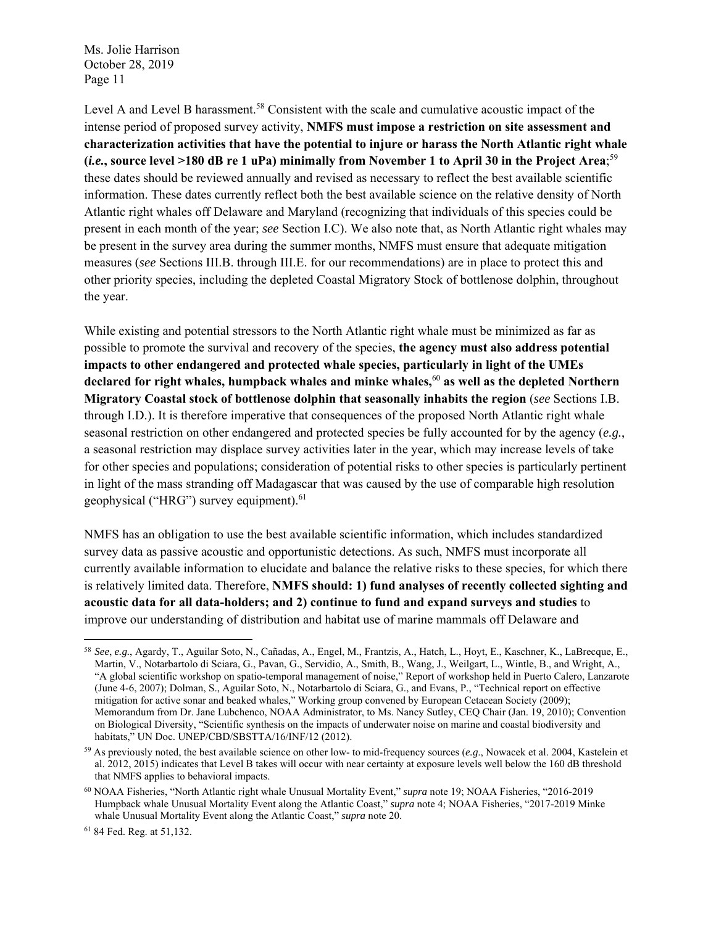Level A and Level B harassment.<sup>58</sup> Consistent with the scale and cumulative acoustic impact of the intense period of proposed survey activity, **NMFS must impose a restriction on site assessment and characterization activities that have the potential to injure or harass the North Atlantic right whale (***i.e.***, source level >180 dB re 1 uPa) minimally from November 1 to April 30 in the Project Area**; 59 these dates should be reviewed annually and revised as necessary to reflect the best available scientific information. These dates currently reflect both the best available science on the relative density of North Atlantic right whales off Delaware and Maryland (recognizing that individuals of this species could be present in each month of the year; *see* Section I.C). We also note that, as North Atlantic right whales may be present in the survey area during the summer months, NMFS must ensure that adequate mitigation measures (*see* Sections III.B. through III.E. for our recommendations) are in place to protect this and other priority species, including the depleted Coastal Migratory Stock of bottlenose dolphin, throughout the year.

While existing and potential stressors to the North Atlantic right whale must be minimized as far as possible to promote the survival and recovery of the species, **the agency must also address potential impacts to other endangered and protected whale species, particularly in light of the UMEs declared for right whales, humpback whales and minke whales,**<sup>60</sup> **as well as the depleted Northern Migratory Coastal stock of bottlenose dolphin that seasonally inhabits the region** (*see* Sections I.B. through I.D.). It is therefore imperative that consequences of the proposed North Atlantic right whale seasonal restriction on other endangered and protected species be fully accounted for by the agency (*e.g.*, a seasonal restriction may displace survey activities later in the year, which may increase levels of take for other species and populations; consideration of potential risks to other species is particularly pertinent in light of the mass stranding off Madagascar that was caused by the use of comparable high resolution geophysical ("HRG") survey equipment).<sup>61</sup>

NMFS has an obligation to use the best available scientific information, which includes standardized survey data as passive acoustic and opportunistic detections. As such, NMFS must incorporate all currently available information to elucidate and balance the relative risks to these species, for which there is relatively limited data. Therefore, **NMFS should: 1) fund analyses of recently collected sighting and acoustic data for all data-holders; and 2) continue to fund and expand surveys and studies** to improve our understanding of distribution and habitat use of marine mammals off Delaware and

<sup>58</sup> *See*, *e.g.*, Agardy, T., Aguilar Soto, N., Cañ adas, A., Engel, M., Frantzis, A., Hatch, L., Hoyt, E., Kaschner, K., LaBrecque, E., Martin, V., Notarbartolo di Sciara, G., Pavan, G., Servidio, A., Smith, B., Wang, J., Weilgart, L., Wintle, B., and Wright, A., "A global scientific workshop on spatio-temporal management of noise," Report of workshop held in Puerto Calero, Lanzarote (June 4-6, 2007); Dolman, S., Aguilar Soto, N., Notarbartolo di Sciara, G., and Evans, P., "Technical report on effective mitigation for active sonar and beaked whales," Working group convened by European Cetacean Society (2009); Memorandum from Dr. Jane Lubchenco, NOAA Administrator, to Ms. Nancy Sutley, CEQ Chair (Jan. 19, 2010); Convention on Biological Diversity, "Scientific synthesis on the impacts of underwater noise on marine and coastal biodiversity and habitats," UN Doc. UNEP/CBD/SBSTTA/16/INF/12 (2012).

<sup>59</sup> As previously noted, the best available science on other low- to mid-frequency sources (*e.g*., Nowacek et al. 2004, Kastelein et al. 2012, 2015) indicates that Level B takes will occur with near certainty at exposure levels well below the 160 dB threshold that NMFS applies to behavioral impacts.

<sup>60</sup> NOAA Fisheries, "North Atlantic right whale Unusual Mortality Event," *supra* note 19; NOAA Fisheries, "2016-2019 Humpback whale Unusual Mortality Event along the Atlantic Coast," *supra* note 4; NOAA Fisheries, "2017-2019 Minke whale Unusual Mortality Event along the Atlantic Coast," *supra* note 20.

<sup>61 84</sup> Fed. Reg. at 51,132.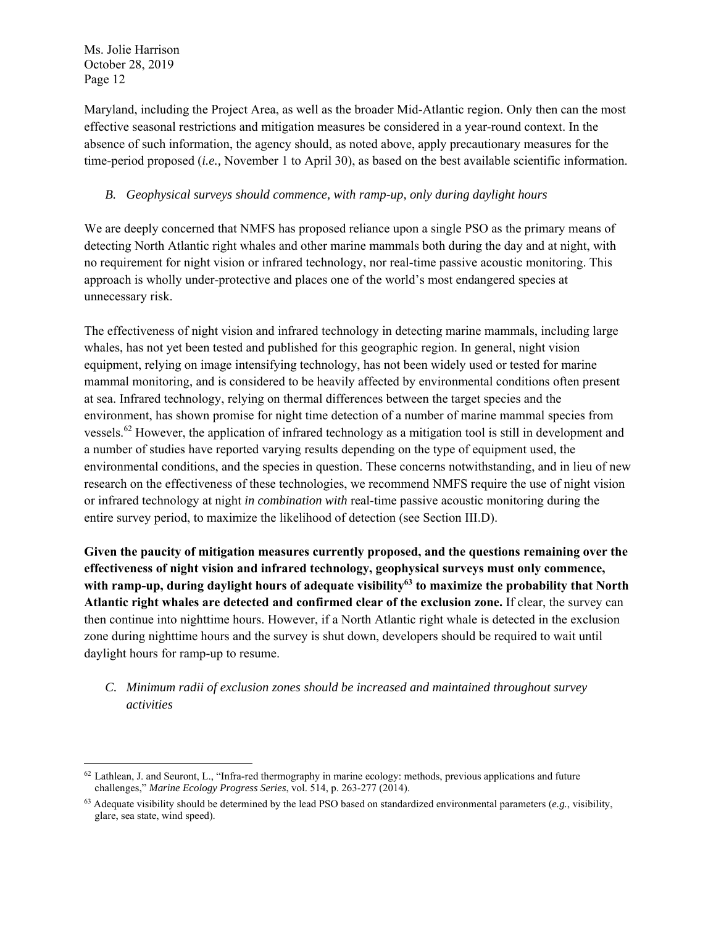Maryland, including the Project Area, as well as the broader Mid-Atlantic region. Only then can the most effective seasonal restrictions and mitigation measures be considered in a year-round context. In the absence of such information, the agency should, as noted above, apply precautionary measures for the time-period proposed (*i.e.,* November 1 to April 30), as based on the best available scientific information.

### *B. Geophysical surveys should commence, with ramp-up, only during daylight hours*

We are deeply concerned that NMFS has proposed reliance upon a single PSO as the primary means of detecting North Atlantic right whales and other marine mammals both during the day and at night, with no requirement for night vision or infrared technology, nor real-time passive acoustic monitoring. This approach is wholly under-protective and places one of the world's most endangered species at unnecessary risk.

The effectiveness of night vision and infrared technology in detecting marine mammals, including large whales, has not yet been tested and published for this geographic region. In general, night vision equipment, relying on image intensifying technology, has not been widely used or tested for marine mammal monitoring, and is considered to be heavily affected by environmental conditions often present at sea. Infrared technology, relying on thermal differences between the target species and the environment, has shown promise for night time detection of a number of marine mammal species from vessels.62 However, the application of infrared technology as a mitigation tool is still in development and a number of studies have reported varying results depending on the type of equipment used, the environmental conditions, and the species in question. These concerns notwithstanding, and in lieu of new research on the effectiveness of these technologies, we recommend NMFS require the use of night vision or infrared technology at night *in combination with* real-time passive acoustic monitoring during the entire survey period, to maximize the likelihood of detection (see Section III.D).

**Given the paucity of mitigation measures currently proposed, and the questions remaining over the effectiveness of night vision and infrared technology, geophysical surveys must only commence,**  with ramp-up, during daylight hours of adequate visibility<sup>63</sup> to maximize the probability that North **Atlantic right whales are detected and confirmed clear of the exclusion zone.** If clear, the survey can then continue into nighttime hours. However, if a North Atlantic right whale is detected in the exclusion zone during nighttime hours and the survey is shut down, developers should be required to wait until daylight hours for ramp-up to resume.

## *C. Minimum radii of exclusion zones should be increased and maintained throughout survey activities*

  $62$  Lathlean, J. and Seuront, L., "Infra-red thermography in marine ecology: methods, previous applications and future challenges," *Marine Ecology Progress Series*, vol. 514, p. 263-277 (2014).

<sup>63</sup> Adequate visibility should be determined by the lead PSO based on standardized environmental parameters (*e.g.*, visibility, glare, sea state, wind speed).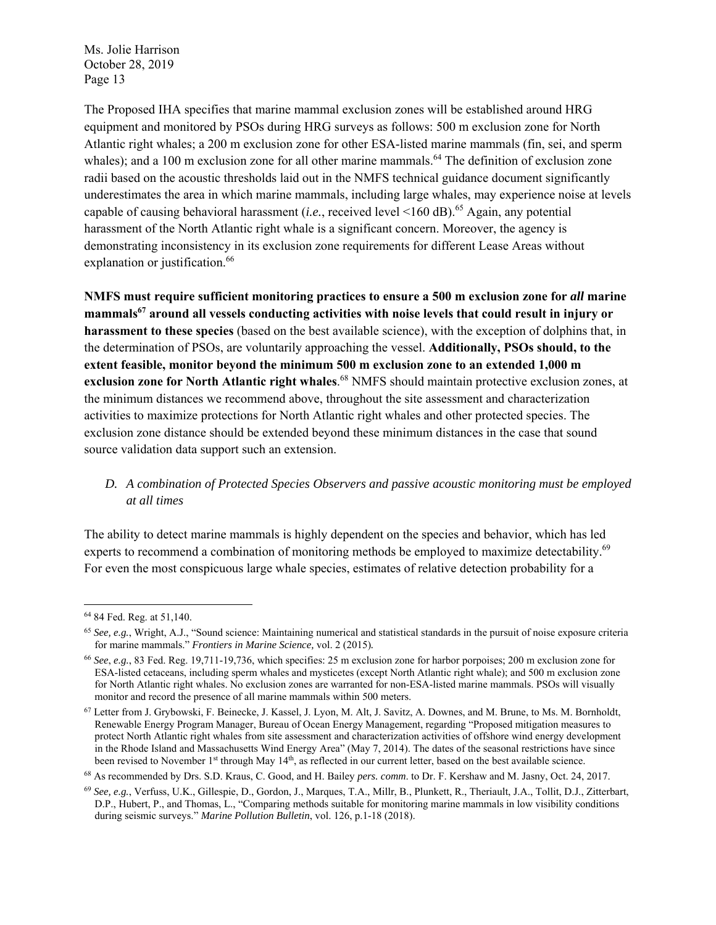The Proposed IHA specifies that marine mammal exclusion zones will be established around HRG equipment and monitored by PSOs during HRG surveys as follows: 500 m exclusion zone for North Atlantic right whales; a 200 m exclusion zone for other ESA-listed marine mammals (fin, sei, and sperm whales); and a 100 m exclusion zone for all other marine mammals.<sup>64</sup> The definition of exclusion zone radii based on the acoustic thresholds laid out in the NMFS technical guidance document significantly underestimates the area in which marine mammals, including large whales, may experience noise at levels capable of causing behavioral harassment (*i.e.*, received level  $\leq$ 160 dB).<sup>65</sup> Again, any potential harassment of the North Atlantic right whale is a significant concern. Moreover, the agency is demonstrating inconsistency in its exclusion zone requirements for different Lease Areas without explanation or justification.<sup>66</sup>

**NMFS must require sufficient monitoring practices to ensure a 500 m exclusion zone for** *all* **marine mammals67 around all vessels conducting activities with noise levels that could result in injury or harassment to these species** (based on the best available science), with the exception of dolphins that, in the determination of PSOs, are voluntarily approaching the vessel. **Additionally, PSOs should, to the extent feasible, monitor beyond the minimum 500 m exclusion zone to an extended 1,000 m exclusion zone for North Atlantic right whales**. 68 NMFS should maintain protective exclusion zones, at the minimum distances we recommend above, throughout the site assessment and characterization activities to maximize protections for North Atlantic right whales and other protected species. The exclusion zone distance should be extended beyond these minimum distances in the case that sound source validation data support such an extension.

# *D. A combination of Protected Species Observers and passive acoustic monitoring must be employed at all times*

The ability to detect marine mammals is highly dependent on the species and behavior, which has led experts to recommend a combination of monitoring methods be employed to maximize detectability.<sup>69</sup> For even the most conspicuous large whale species, estimates of relative detection probability for a

<sup>64 84</sup> Fed. Reg. at 51,140.

<sup>65</sup> *See, e.g.*, Wright, A.J., "Sound science: Maintaining numerical and statistical standards in the pursuit of noise exposure criteria for marine mammals." *Frontiers in Marine Science,* vol. 2 (2015)*.*

<sup>66</sup> *See*, *e.g.*, 83 Fed. Reg. 19,711-19,736, which specifies: 25 m exclusion zone for harbor porpoises; 200 m exclusion zone for ESA-listed cetaceans, including sperm whales and mysticetes (except North Atlantic right whale); and 500 m exclusion zone for North Atlantic right whales. No exclusion zones are warranted for non-ESA-listed marine mammals. PSOs will visually monitor and record the presence of all marine mammals within 500 meters.

<sup>67</sup> Letter from J. Grybowski, F. Beinecke, J. Kassel, J. Lyon, M. Alt, J. Savitz, A. Downes, and M. Brune, to Ms. M. Bornholdt, Renewable Energy Program Manager, Bureau of Ocean Energy Management, regarding "Proposed mitigation measures to protect North Atlantic right whales from site assessment and characterization activities of offshore wind energy development in the Rhode Island and Massachusetts Wind Energy Area" (May 7, 2014). The dates of the seasonal restrictions have since been revised to November 1<sup>st</sup> through May 14<sup>th</sup>, as reflected in our current letter, based on the best available science.

<sup>68</sup> As recommended by Drs. S.D. Kraus, C. Good, and H. Bailey *pers. comm*. to Dr. F. Kershaw and M. Jasny, Oct. 24, 2017.

<sup>69</sup> *See, e.g.*, Verfuss, U.K., Gillespie, D., Gordon, J., Marques, T.A., Millr, B., Plunkett, R., Theriault, J.A., Tollit, D.J., Zitterbart, D.P., Hubert, P., and Thomas, L., "Comparing methods suitable for monitoring marine mammals in low visibility conditions during seismic surveys." *Marine Pollution Bulletin*, vol. 126, p.1-18 (2018).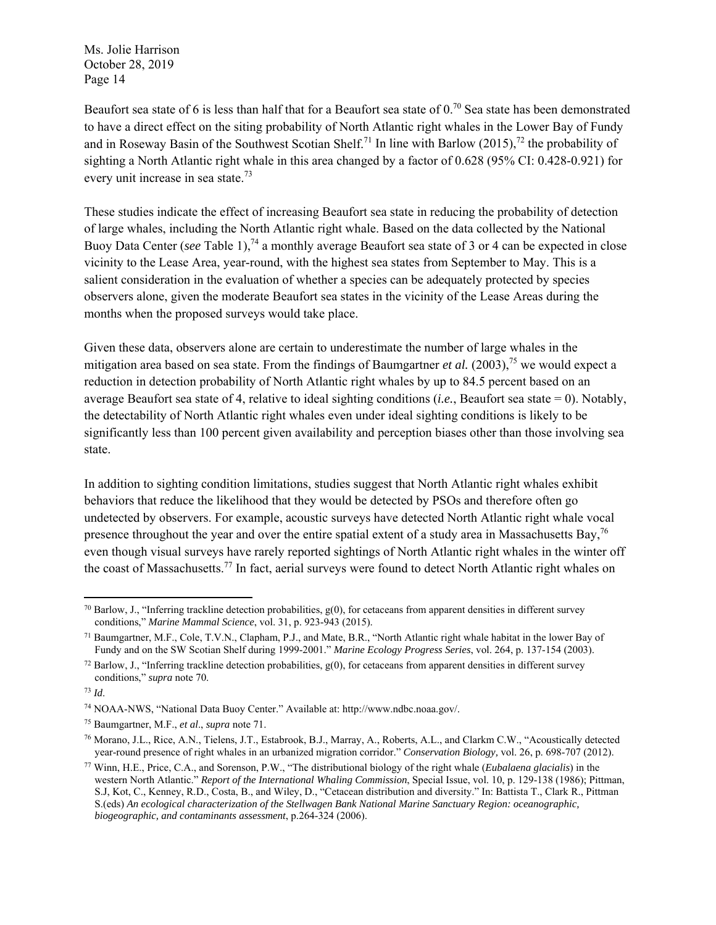Beaufort sea state of 6 is less than half that for a Beaufort sea state of  $0.^{70}$  Sea state has been demonstrated to have a direct effect on the siting probability of North Atlantic right whales in the Lower Bay of Fundy and in Roseway Basin of the Southwest Scotian Shelf.<sup>71</sup> In line with Barlow (2015),<sup>72</sup> the probability of sighting a North Atlantic right whale in this area changed by a factor of 0.628 (95% CI: 0.428-0.921) for every unit increase in sea state.73

These studies indicate the effect of increasing Beaufort sea state in reducing the probability of detection of large whales, including the North Atlantic right whale. Based on the data collected by the National Buoy Data Center (*see* Table 1),<sup>74</sup> a monthly average Beaufort sea state of 3 or 4 can be expected in close vicinity to the Lease Area, year-round, with the highest sea states from September to May. This is a salient consideration in the evaluation of whether a species can be adequately protected by species observers alone, given the moderate Beaufort sea states in the vicinity of the Lease Areas during the months when the proposed surveys would take place.

Given these data, observers alone are certain to underestimate the number of large whales in the mitigation area based on sea state. From the findings of Baumgartner *et al.* (2003),<sup>75</sup> we would expect a reduction in detection probability of North Atlantic right whales by up to 84.5 percent based on an average Beaufort sea state of 4, relative to ideal sighting conditions (*i.e.*, Beaufort sea state = 0). Notably, the detectability of North Atlantic right whales even under ideal sighting conditions is likely to be significantly less than 100 percent given availability and perception biases other than those involving sea state.

In addition to sighting condition limitations, studies suggest that North Atlantic right whales exhibit behaviors that reduce the likelihood that they would be detected by PSOs and therefore often go undetected by observers. For example, acoustic surveys have detected North Atlantic right whale vocal presence throughout the year and over the entire spatial extent of a study area in Massachusetts Bay,  $^{76}$ even though visual surveys have rarely reported sightings of North Atlantic right whales in the winter off the coast of Massachusetts.<sup>77</sup> In fact, aerial surveys were found to detect North Atlantic right whales on

 <sup>70</sup> Barlow, J., "Inferring trackline detection probabilities,  $g(0)$ , for cetaceans from apparent densities in different survey conditions," *Marine Mammal Science*, vol. 31, p. 923-943 (2015).

<sup>71</sup> Baumgartner, M.F., Cole, T.V.N., Clapham, P.J., and Mate, B.R., "North Atlantic right whale habitat in the lower Bay of Fundy and on the SW Scotian Shelf during 1999-2001." *Marine Ecology Progress Series*, vol. 264, p. 137-154 (2003).

 $72$  Barlow, J., "Inferring trackline detection probabilities,  $g(0)$ , for cetaceans from apparent densities in different survey conditions," *supra* note 70.

<sup>73</sup> *Id*.

<sup>74</sup> NOAA-NWS, "National Data Buoy Center." Available at: http://www.ndbc.noaa.gov/.

<sup>75</sup> Baumgartner, M.F., *et al*., *supra* note 71.

<sup>76</sup> Morano, J.L., Rice, A.N., Tielens, J.T., Estabrook, B.J., Marray, A., Roberts, A.L., and Clarkm C.W., "Acoustically detected year-round presence of right whales in an urbanized migration corridor." *Conservation Biology,* vol. 26, p. 698-707 (2012).

<sup>77</sup> Winn, H.E., Price, C.A., and Sorenson, P.W., "The distributional biology of the right whale (*Eubalaena glacialis*) in the western North Atlantic." *Report of the International Whaling Commission*, Special Issue, vol. 10, p. 129-138 (1986); Pittman, S.J, Kot, C., Kenney, R.D., Costa, B., and Wiley, D., "Cetacean distribution and diversity." In: Battista T., Clark R., Pittman S.(eds) *An ecological characterization of the Stellwagen Bank National Marine Sanctuary Region: oceanographic, biogeographic, and contaminants assessment*, p.264-324 (2006).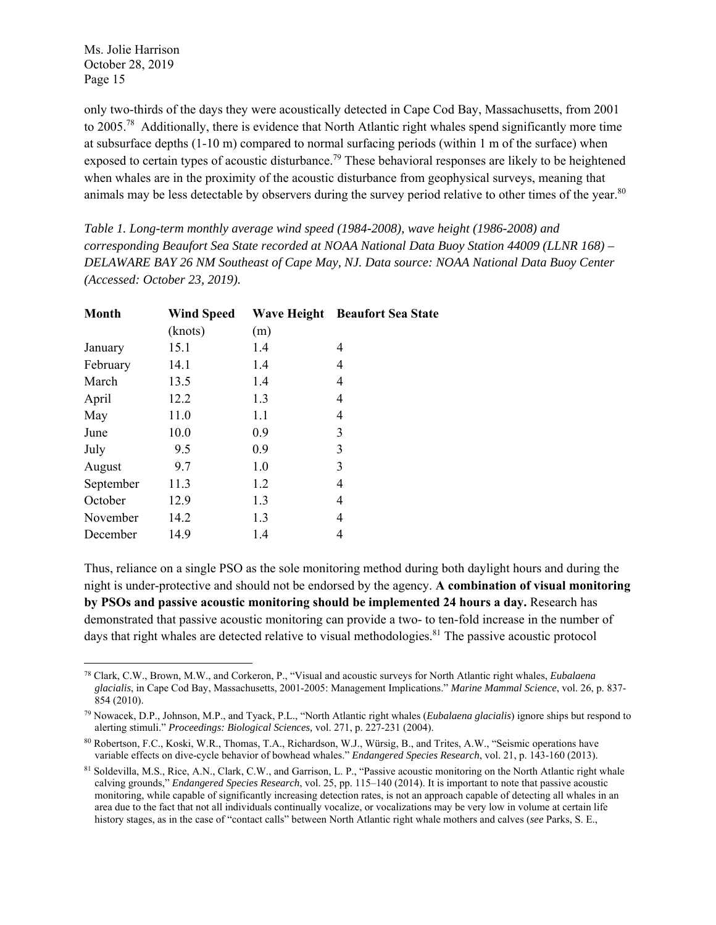only two-thirds of the days they were acoustically detected in Cape Cod Bay, Massachusetts, from 2001 to 2005.<sup>78</sup> Additionally, there is evidence that North Atlantic right whales spend significantly more time at subsurface depths (1-10 m) compared to normal surfacing periods (within 1 m of the surface) when exposed to certain types of acoustic disturbance.<sup>79</sup> These behavioral responses are likely to be heightened when whales are in the proximity of the acoustic disturbance from geophysical surveys, meaning that animals may be less detectable by observers during the survey period relative to other times of the year.<sup>80</sup>

*Table 1. Long-term monthly average wind speed (1984-2008), wave height (1986-2008) and corresponding Beaufort Sea State recorded at NOAA National Data Buoy Station 44009 (LLNR 168) – DELAWARE BAY 26 NM Southeast of Cape May, NJ. Data source: NOAA National Data Buoy Center (Accessed: October 23, 2019).*

| Month     | <b>Wind Speed</b> | <b>Wave Height</b> | <b>Beaufort Sea State</b> |
|-----------|-------------------|--------------------|---------------------------|
|           | (knots)           | (m)                |                           |
| January   | 15.1              | 1.4                | 4                         |
| February  | 14.1              | 1.4                | 4                         |
| March     | 13.5              | 1.4                | 4                         |
| April     | 12.2              | 1.3                | 4                         |
| May       | 11.0              | 1.1                | 4                         |
| June      | 10.0              | 0.9                | 3                         |
| July      | 9.5               | 0.9                | 3                         |
| August    | 9.7               | 1.0                | 3                         |
| September | 11.3              | 1.2                | 4                         |
| October   | 12.9              | 1.3                | 4                         |
| November  | 14.2              | 1.3                | 4                         |
| December  | 14.9              | 1.4                | 4                         |

Thus, reliance on a single PSO as the sole monitoring method during both daylight hours and during the night is under-protective and should not be endorsed by the agency. **A combination of visual monitoring by PSOs and passive acoustic monitoring should be implemented 24 hours a day.** Research has demonstrated that passive acoustic monitoring can provide a two- to ten-fold increase in the number of days that right whales are detected relative to visual methodologies.<sup>81</sup> The passive acoustic protocol

 78 Clark, C.W., Brown, M.W., and Corkeron, P., "Visual and acoustic surveys for North Atlantic right whales, *Eubalaena glacialis*, in Cape Cod Bay, Massachusetts, 2001-2005: Management Implications." *Marine Mammal Science*, vol. 26, p. 837- 854 (2010).

<sup>79</sup> Nowacek, D.P., Johnson, M.P., and Tyack, P.L., "North Atlantic right whales (*Eubalaena glacialis*) ignore ships but respond to alerting stimuli." *Proceedings: Biological Sciences,* vol. 271, p. 227-231 (2004).

<sup>80</sup> Robertson, F.C., Koski, W.R., Thomas, T.A., Richardson, W.J., Würsig, B., and Trites, A.W., "Seismic operations have variable effects on dive-cycle behavior of bowhead whales." *Endangered Species Research*, vol. 21, p. 143-160 (2013).

<sup>81</sup> Soldevilla, M.S., Rice, A.N., Clark, C.W., and Garrison, L. P., "Passive acoustic monitoring on the North Atlantic right whale calving grounds," *Endangered Species Research*, vol. 25, pp. 115–140 (2014). It is important to note that passive acoustic monitoring, while capable of significantly increasing detection rates, is not an approach capable of detecting all whales in an area due to the fact that not all individuals continually vocalize, or vocalizations may be very low in volume at certain life history stages, as in the case of "contact calls" between North Atlantic right whale mothers and calves (*see* Parks, S. E.,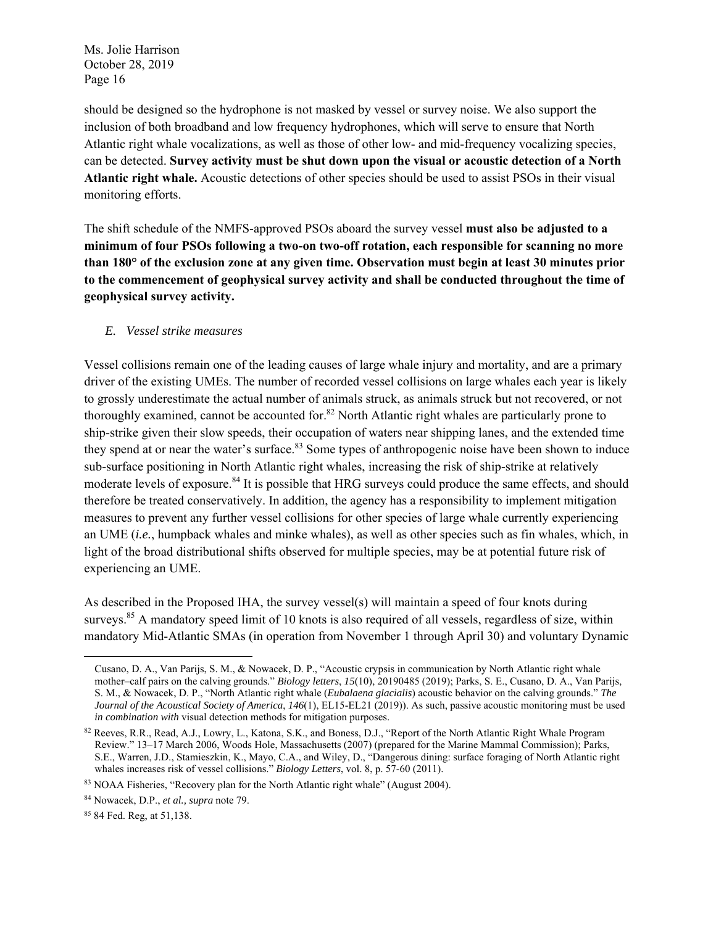should be designed so the hydrophone is not masked by vessel or survey noise. We also support the inclusion of both broadband and low frequency hydrophones, which will serve to ensure that North Atlantic right whale vocalizations, as well as those of other low- and mid-frequency vocalizing species, can be detected. **Survey activity must be shut down upon the visual or acoustic detection of a North Atlantic right whale.** Acoustic detections of other species should be used to assist PSOs in their visual monitoring efforts.

The shift schedule of the NMFS-approved PSOs aboard the survey vessel **must also be adjusted to a minimum of four PSOs following a two-on two-off rotation, each responsible for scanning no more than 180° of the exclusion zone at any given time. Observation must begin at least 30 minutes prior to the commencement of geophysical survey activity and shall be conducted throughout the time of geophysical survey activity.**

#### *E. Vessel strike measures*

Vessel collisions remain one of the leading causes of large whale injury and mortality, and are a primary driver of the existing UMEs. The number of recorded vessel collisions on large whales each year is likely to grossly underestimate the actual number of animals struck, as animals struck but not recovered, or not thoroughly examined, cannot be accounted for.<sup>82</sup> North Atlantic right whales are particularly prone to ship-strike given their slow speeds, their occupation of waters near shipping lanes, and the extended time they spend at or near the water's surface.<sup>83</sup> Some types of anthropogenic noise have been shown to induce sub-surface positioning in North Atlantic right whales, increasing the risk of ship-strike at relatively moderate levels of exposure.<sup>84</sup> It is possible that HRG surveys could produce the same effects, and should therefore be treated conservatively. In addition, the agency has a responsibility to implement mitigation measures to prevent any further vessel collisions for other species of large whale currently experiencing an UME (*i.e.*, humpback whales and minke whales), as well as other species such as fin whales, which, in light of the broad distributional shifts observed for multiple species, may be at potential future risk of experiencing an UME.

As described in the Proposed IHA, the survey vessel(s) will maintain a speed of four knots during surveys.<sup>85</sup> A mandatory speed limit of 10 knots is also required of all vessels, regardless of size, within mandatory Mid-Atlantic SMAs (in operation from November 1 through April 30) and voluntary Dynamic

Cusano, D. A., Van Parijs, S. M., & Nowacek, D. P., "Acoustic crypsis in communication by North Atlantic right whale mother–calf pairs on the calving grounds." *Biology letters*, *15*(10), 20190485 (2019); Parks, S. E., Cusano, D. A., Van Parijs, S. M., & Nowacek, D. P., "North Atlantic right whale (*Eubalaena glacialis*) acoustic behavior on the calving grounds." *The Journal of the Acoustical Society of America*, *146*(1), EL15-EL21 (2019)). As such, passive acoustic monitoring must be used *in combination with* visual detection methods for mitigation purposes.

<sup>82</sup> Reeves, R.R., Read, A.J., Lowry, L., Katona, S.K., and Boness, D.J., "Report of the North Atlantic Right Whale Program Review." 13–17 March 2006, Woods Hole, Massachusetts (2007) (prepared for the Marine Mammal Commission); Parks, S.E., Warren, J.D., Stamieszkin, K., Mayo, C.A., and Wiley, D., "Dangerous dining: surface foraging of North Atlantic right whales increases risk of vessel collisions." *Biology Letters*, vol. 8, p. 57-60 (2011).

<sup>83</sup> NOAA Fisheries, "Recovery plan for the North Atlantic right whale" (August 2004).

<sup>84</sup> Nowacek, D.P., *et al., supra* note 79.

<sup>85 84</sup> Fed. Reg, at 51,138.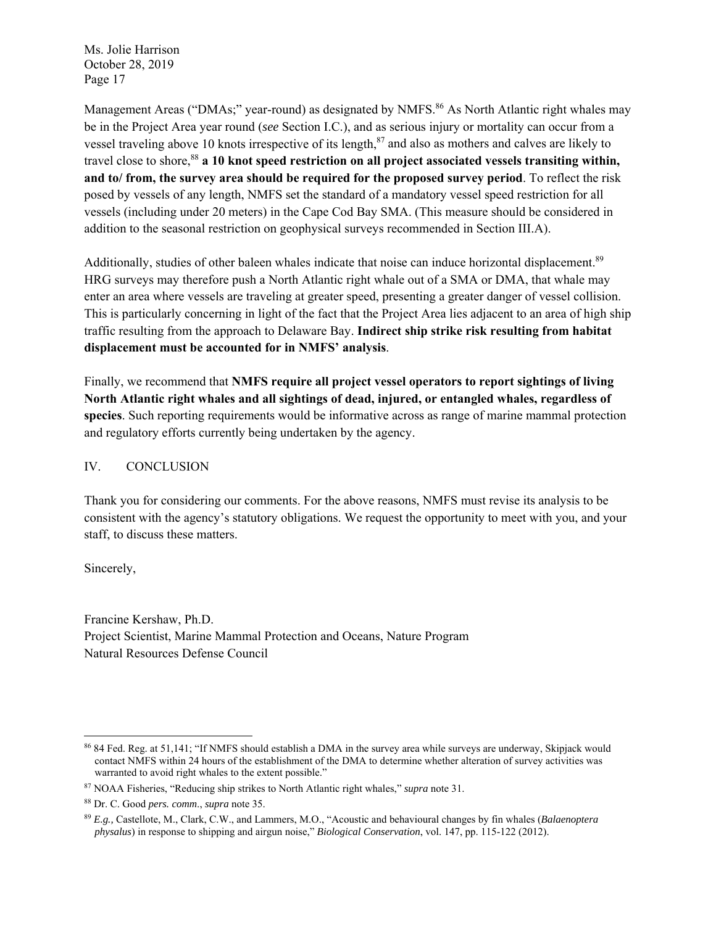Management Areas ("DMAs;" year-round) as designated by NMFS.<sup>86</sup> As North Atlantic right whales may be in the Project Area year round (*see* Section I.C.), and as serious injury or mortality can occur from a vessel traveling above 10 knots irrespective of its length, $^{87}$  and also as mothers and calves are likely to travel close to shore,<sup>88</sup> **a 10 knot speed restriction on all project associated vessels transiting within, and to/ from, the survey area should be required for the proposed survey period**. To reflect the risk posed by vessels of any length, NMFS set the standard of a mandatory vessel speed restriction for all vessels (including under 20 meters) in the Cape Cod Bay SMA. (This measure should be considered in addition to the seasonal restriction on geophysical surveys recommended in Section III.A).

Additionally, studies of other baleen whales indicate that noise can induce horizontal displacement.<sup>89</sup> HRG surveys may therefore push a North Atlantic right whale out of a SMA or DMA, that whale may enter an area where vessels are traveling at greater speed, presenting a greater danger of vessel collision. This is particularly concerning in light of the fact that the Project Area lies adjacent to an area of high ship traffic resulting from the approach to Delaware Bay. **Indirect ship strike risk resulting from habitat displacement must be accounted for in NMFS' analysis**.

Finally, we recommend that **NMFS require all project vessel operators to report sightings of living North Atlantic right whales and all sightings of dead, injured, or entangled whales, regardless of species**. Such reporting requirements would be informative across as range of marine mammal protection and regulatory efforts currently being undertaken by the agency.

### IV. CONCLUSION

Thank you for considering our comments. For the above reasons, NMFS must revise its analysis to be consistent with the agency's statutory obligations. We request the opportunity to meet with you, and your staff, to discuss these matters.

Sincerely,

Francine Kershaw, Ph.D. Project Scientist, Marine Mammal Protection and Oceans, Nature Program Natural Resources Defense Council

 86 84 Fed. Reg. at 51,141; "If NMFS should establish a DMA in the survey area while surveys are underway, Skipjack would contact NMFS within 24 hours of the establishment of the DMA to determine whether alteration of survey activities was warranted to avoid right whales to the extent possible."

<sup>87</sup> NOAA Fisheries, "Reducing ship strikes to North Atlantic right whales," *supra* note 31.

<sup>88</sup> Dr. C. Good *pers. comm*., *supra* note 35.

<sup>89</sup> *E.g.,* Castellote, M., Clark, C.W., and Lammers, M.O., "Acoustic and behavioural changes by fin whales (*Balaenoptera physalus*) in response to shipping and airgun noise," *Biological Conservation*, vol. 147, pp. 115-122 (2012).